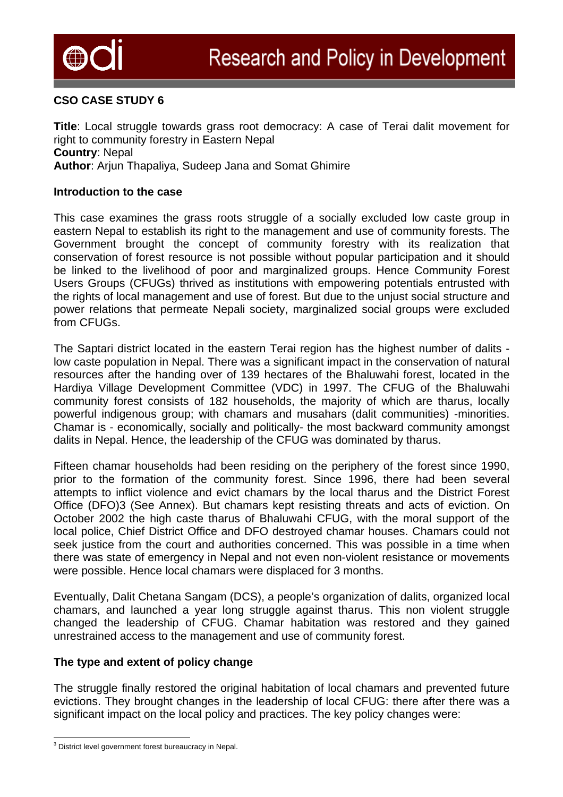

## **CSO CASE STUDY 6**

**Title**: Local struggle towards grass root democracy: A case of Terai dalit movement for right to community forestry in Eastern Nepal **Country**: Nepal **Author**: Arjun Thapaliya, Sudeep Jana and Somat Ghimire

#### **Introduction to the case**

This case examines the grass roots struggle of a socially excluded low caste group in eastern Nepal to establish its right to the management and use of community forests. The Government brought the concept of community forestry with its realization that conservation of forest resource is not possible without popular participation and it should be linked to the livelihood of poor and marginalized groups. Hence Community Forest Users Groups (CFUGs) thrived as institutions with empowering potentials entrusted with the rights of local management and use of forest. But due to the unjust social structure and power relations that permeate Nepali society, marginalized social groups were excluded from CFUGs.

The Saptari district located in the eastern Terai region has the highest number of dalits low caste population in Nepal. There was a significant impact in the conservation of natural resources after the handing over of 139 hectares of the Bhaluwahi forest, located in the Hardiya Village Development Committee (VDC) in 1997. The CFUG of the Bhaluwahi community forest consists of 182 households, the majority of which are tharus, locally powerful indigenous group; with chamars and musahars (dalit communities) -minorities. Chamar is - economically, socially and politically- the most backward community amongst dalits in Nepal. Hence, the leadership of the CFUG was dominated by tharus.

Fifteen chamar households had been residing on the periphery of the forest since 1990, prior to the formation of the community forest. Since 1996, there had been several attempts to inflict violence and evict chamars by the local tharus and the District Forest Office (DFO[\)3](#page-0-0) (See Annex). But chamars kept resisting threats and acts of eviction. On October 2002 the high caste tharus of Bhaluwahi CFUG, with the moral support of the local police, Chief District Office and DFO destroyed chamar houses. Chamars could not seek justice from the court and authorities concerned. This was possible in a time when there was state of emergency in Nepal and not even non-violent resistance or movements were possible. Hence local chamars were displaced for 3 months.

Eventually, Dalit Chetana Sangam (DCS), a people's organization of dalits, organized local chamars, and launched a year long struggle against tharus. This non violent struggle changed the leadership of CFUG. Chamar habitation was restored and they gained unrestrained access to the management and use of community forest.

## **The type and extent of policy change**

The struggle finally restored the original habitation of local chamars and prevented future evictions. They brought changes in the leadership of local CFUG: there after there was a significant impact on the local policy and practices. The key policy changes were:

<span id="page-0-0"></span>and the control of the set of the set of the set of the set of the set of the set of the set of the set of the set of the set of the set of the set of the set of the set of the set of the set of the set of the set of the s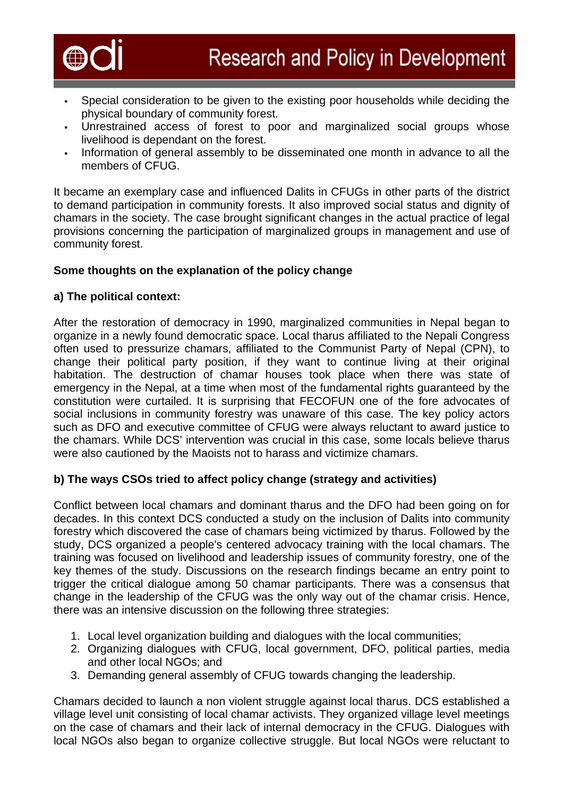

- Special consideration to be given to the existing poor households while deciding the physical boundary of community forest.
- Unrestrained access of forest to poor and marginalized social groups whose livelihood is dependant on the forest.
- Information of general assembly to be disseminated one month in advance to all the members of CFUG.

It became an exemplary case and influenced Dalits in CFUGs in other parts of the district to demand participation in community forests. It also improved social status and dignity of chamars in the society. The case brought significant changes in the actual practice of legal provisions concerning the participation of marginalized groups in management and use of community forest.

# **Some thoughts on the explanation of the policy change**

## **a) The political context:**

After the restoration of democracy in 1990, marginalized communities in Nepal began to organize in a newly found democratic space. Local tharus affiliated to the Nepali Congress often used to pressurize chamars, affiliated to the Communist Party of Nepal (CPN), to change their political party position, if they want to continue living at their original habitation. The destruction of chamar houses took place when there was state of emergency in the Nepal, at a time when most of the fundamental rights guaranteed by the constitution were curtailed. It is surprising that FECOFUN one of the fore advocates of social inclusions in community forestry was unaware of this case. The key policy actors such as DFO and executive committee of CFUG were always reluctant to award justice to the chamars. While DCS' intervention was crucial in this case, some locals believe tharus were also cautioned by the Maoists not to harass and victimize chamars.

# **b) The ways CSOs tried to affect policy change (strategy and activities)**

Conflict between local chamars and dominant tharus and the DFO had been going on for decades. In this context DCS conducted a study on the inclusion of Dalits into community forestry which discovered the case of chamars being victimized by tharus. Followed by the study, DCS organized a people's centered advocacy training with the local chamars. The training was focused on livelihood and leadership issues of community forestry, one of the key themes of the study. Discussions on the research findings became an entry point to trigger the critical dialogue among 50 chamar participants. There was a consensus that change in the leadership of the CFUG was the only way out of the chamar crisis. Hence, there was an intensive discussion on the following three strategies:

- 1. Local level organization building and dialogues with the local communities;
- 2. Organizing dialogues with CFUG, local government, DFO, political parties, media and other local NGOs; and
- 3. Demanding general assembly of CFUG towards changing the leadership.

Chamars decided to launch a non violent struggle against local tharus. DCS established a village level unit consisting of local chamar activists. They organized village level meetings on the case of chamars and their lack of internal democracy in the CFUG. Dialogues with local NGOs also began to organize collective struggle. But local NGOs were reluctant to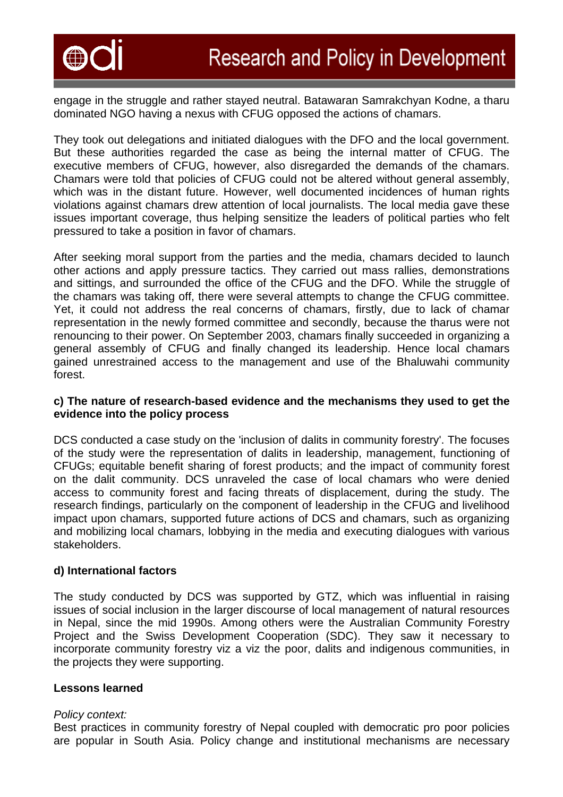

engage in the struggle and rather stayed neutral. Batawaran Samrakchyan Kodne, a tharu dominated NGO having a nexus with CFUG opposed the actions of chamars.

They took out delegations and initiated dialogues with the DFO and the local government. But these authorities regarded the case as being the internal matter of CFUG. The executive members of CFUG, however, also disregarded the demands of the chamars. Chamars were told that policies of CFUG could not be altered without general assembly, which was in the distant future. However, well documented incidences of human rights violations against chamars drew attention of local journalists. The local media gave these issues important coverage, thus helping sensitize the leaders of political parties who felt pressured to take a position in favor of chamars.

After seeking moral support from the parties and the media, chamars decided to launch other actions and apply pressure tactics. They carried out mass rallies, demonstrations and sittings, and surrounded the office of the CFUG and the DFO. While the struggle of the chamars was taking off, there were several attempts to change the CFUG committee. Yet, it could not address the real concerns of chamars, firstly, due to lack of chamar representation in the newly formed committee and secondly, because the tharus were not renouncing to their power. On September 2003, chamars finally succeeded in organizing a general assembly of CFUG and finally changed its leadership. Hence local chamars gained unrestrained access to the management and use of the Bhaluwahi community forest.

## **c) The nature of research-based evidence and the mechanisms they used to get the evidence into the policy process**

DCS conducted a case study on the 'inclusion of dalits in community forestry'. The focuses of the study were the representation of dalits in leadership, management, functioning of CFUGs; equitable benefit sharing of forest products; and the impact of community forest on the dalit community. DCS unraveled the case of local chamars who were denied access to community forest and facing threats of displacement, during the study. The research findings, particularly on the component of leadership in the CFUG and livelihood impact upon chamars, supported future actions of DCS and chamars, such as organizing and mobilizing local chamars, lobbying in the media and executing dialogues with various stakeholders.

## **d) International factors**

The study conducted by DCS was supported by GTZ, which was influential in raising issues of social inclusion in the larger discourse of local management of natural resources in Nepal, since the mid 1990s. Among others were the Australian Community Forestry Project and the Swiss Development Cooperation (SDC). They saw it necessary to incorporate community forestry viz a viz the poor, dalits and indigenous communities, in the projects they were supporting.

## **Lessons learned**

## *Policy context:*

Best practices in community forestry of Nepal coupled with democratic pro poor policies are popular in South Asia. Policy change and institutional mechanisms are necessary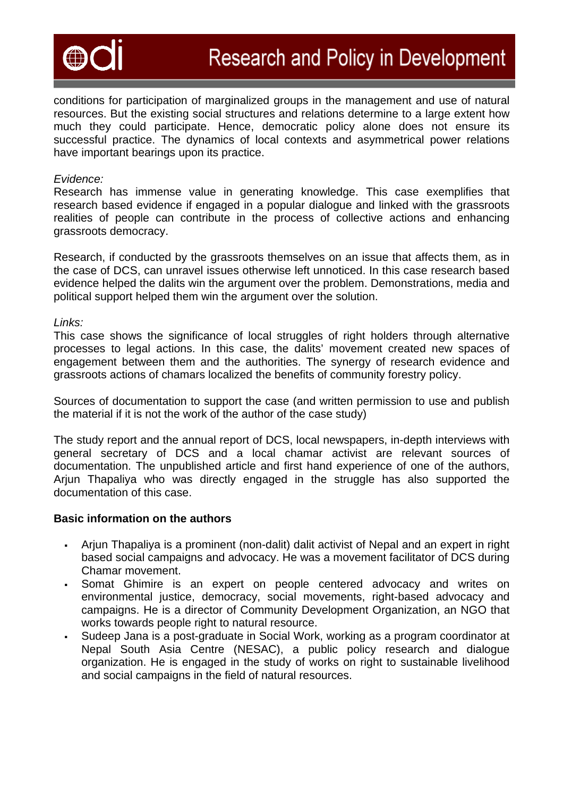

conditions for participation of marginalized groups in the management and use of natural resources. But the existing social structures and relations determine to a large extent how much they could participate. Hence, democratic policy alone does not ensure its successful practice. The dynamics of local contexts and asymmetrical power relations have important bearings upon its practice.

#### *Evidence:*

Research has immense value in generating knowledge. This case exemplifies that research based evidence if engaged in a popular dialogue and linked with the grassroots realities of people can contribute in the process of collective actions and enhancing grassroots democracy.

Research, if conducted by the grassroots themselves on an issue that affects them, as in the case of DCS, can unravel issues otherwise left unnoticed. In this case research based evidence helped the dalits win the argument over the problem. Demonstrations, media and political support helped them win the argument over the solution.

#### *Links:*

This case shows the significance of local struggles of right holders through alternative processes to legal actions. In this case, the dalits' movement created new spaces of engagement between them and the authorities. The synergy of research evidence and grassroots actions of chamars localized the benefits of community forestry policy.

Sources of documentation to support the case (and written permission to use and publish the material if it is not the work of the author of the case study)

The study report and the annual report of DCS, local newspapers, in-depth interviews with general secretary of DCS and a local chamar activist are relevant sources of documentation. The unpublished article and first hand experience of one of the authors, Arjun Thapaliya who was directly engaged in the struggle has also supported the documentation of this case.

## **Basic information on the authors**

- Arjun Thapaliya is a prominent (non-dalit) dalit activist of Nepal and an expert in right based social campaigns and advocacy. He was a movement facilitator of DCS during Chamar movement.
- Somat Ghimire is an expert on people centered advocacy and writes on environmental justice, democracy, social movements, right-based advocacy and campaigns. He is a director of Community Development Organization, an NGO that works towards people right to natural resource.
- Sudeep Jana is a post-graduate in Social Work, working as a program coordinator at Nepal South Asia Centre (NESAC), a public policy research and dialogue organization. He is engaged in the study of works on right to sustainable livelihood and social campaigns in the field of natural resources.